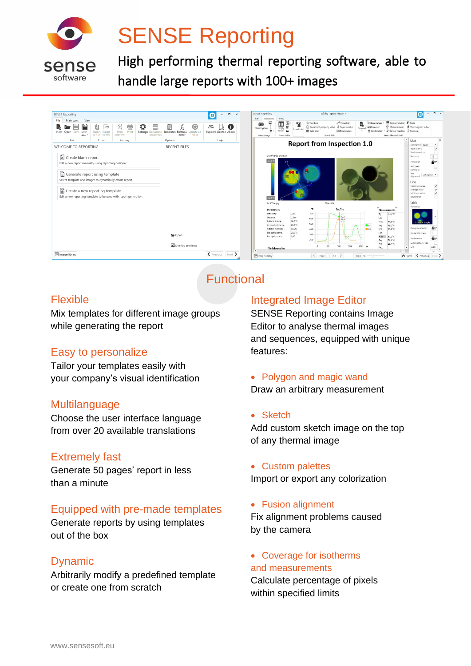

# SENSE Reporting

High performing thermal reporting software, able to handle large reports with 100+ images



# **Functional**

#### Flexible

Mix templates for different image groups while generating the report

#### Easy to personalize

Tailor your templates easily with your company's visual identification

#### **Multilanguage**

Choose the user interface language from over 20 available translations

#### Extremely fast

Generate 50 pages' report in less than a minute

#### Equipped with pre-made templates

Generate reports by using templates out of the box

#### Dynamic

Arbitrarily modify a predefined template or create one from scratch

#### Integrated Image Editor

SENSE Reporting contains Image Editor to analyse thermal images and sequences, equipped with unique features:

• Polygon and magic wand Draw an arbitrary measurement

#### • Sketch

Add custom sketch image on the top of any thermal image

• Custom palettes Import or export any colorization

• Fusion alignment

Fix alignment problems caused by the camera

• Coverage for isotherms and measurements Calculate percentage of pixels within specified limits